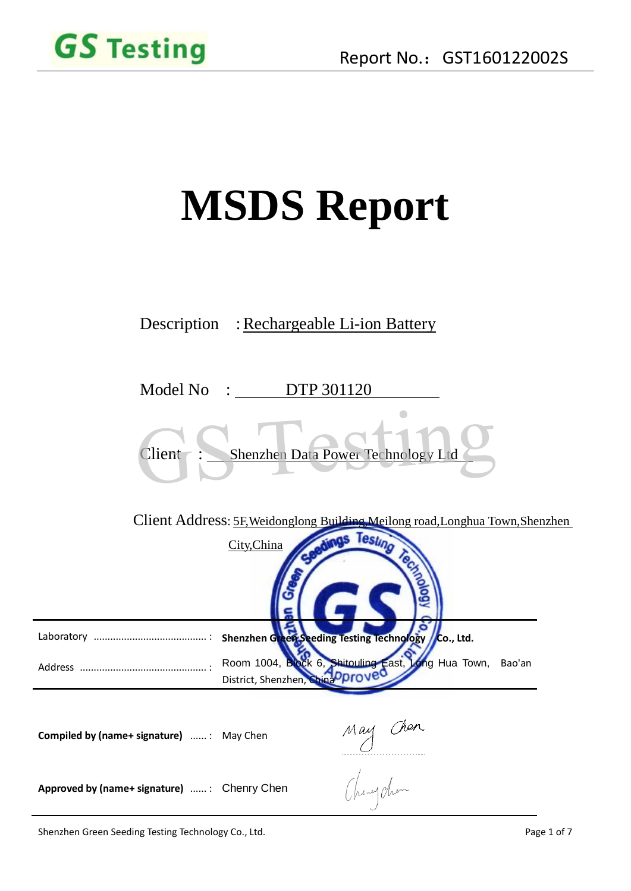# **MSDS Report**

|                                             |                                 | Description : Rechargeable Li-ion Battery                                                      |  |
|---------------------------------------------|---------------------------------|------------------------------------------------------------------------------------------------|--|
| Model No                                    | $\frac{1}{2}$ DTP 301120        |                                                                                                |  |
| Client                                      |                                 | Shenzhen Data Power Technology Ltd                                                             |  |
|                                             | City, China                     | Client Address: 5F, Weidonglong Building, Meilong road, Longhua Town, Shenzhen<br>ings Testing |  |
|                                             |                                 |                                                                                                |  |
|                                             |                                 | Shenzhen Green Seeding Testing Technology / Co., Ltd.                                          |  |
|                                             | District, Shenzhen, China PProv | Room 1004, Block 6, Shitouling East, Long Hua Town,<br>Bao'an                                  |  |
| Compiled by (name+ signature) : May Chen    |                                 | May Chen                                                                                       |  |
| Approved by (name+ signature) : Chenry Chen |                                 |                                                                                                |  |

Shenzhen Green Seeding Testing Technology Co., Ltd. Page 1 of 7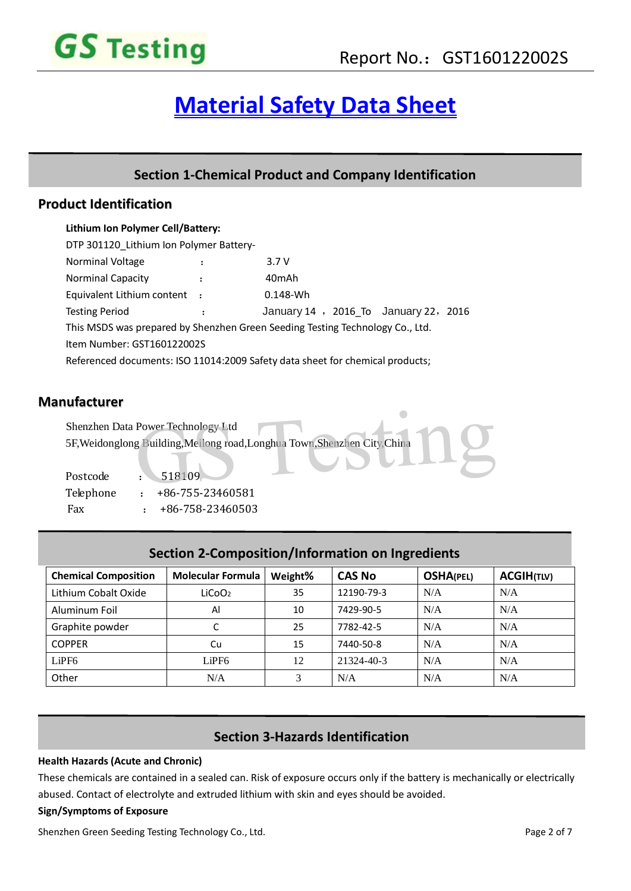# **Material Safety Data Sheet**

### **Section 1-Chemical Product and Company Identification Section 1-Chemical Product and Company Identification**

#### **Product Identification**

| Lithium Ion Polymer Cell/Battery:                                             |  |                                      |  |
|-------------------------------------------------------------------------------|--|--------------------------------------|--|
| DTP 301120 Lithium Ion Polymer Battery-                                       |  |                                      |  |
| Norminal Voltage                                                              |  | 3.7V                                 |  |
| <b>Norminal Capacity</b>                                                      |  | 40mAh                                |  |
| Equivalent Lithium content :                                                  |  | $0.148$ -Wh                          |  |
| <b>Testing Period</b>                                                         |  | January 14, 2016 To January 22, 2016 |  |
| This MSDS was prepared by Shenzhen Green Seeding Testing Technology Co., Ltd. |  |                                      |  |
| Item Number: GST160122002S                                                    |  |                                      |  |
| Referenced documents: ISO 11014:2009 Safety data sheet for chemical products; |  |                                      |  |
|                                                                               |  |                                      |  |

#### **Manufacturer**

|           | Shenzhen Data Power Technology Ltd                                         |
|-----------|----------------------------------------------------------------------------|
|           | 5F, Weidonglong Building, Meilong road, Longhua Town, Shenzhen City, China |
|           | 518109                                                                     |
| Postcode  |                                                                            |
| Telephone | +86-755-23460581                                                           |

Fax : +86-758-23460503

| <b>Chemical Composition</b> | <b>Molecular Formula</b> | Weight% | <b>CAS No</b> | <b>OSHA(PEL)</b> | <b>ACGIH(TLV)</b> |
|-----------------------------|--------------------------|---------|---------------|------------------|-------------------|
| Lithium Cobalt Oxide        | LiCoO <sub>2</sub>       | 35      | 12190-79-3    | N/A              | N/A               |
| Aluminum Foil               | Al                       | 10      | 7429-90-5     | N/A              | N/A               |
| Graphite powder             |                          | 25      | 7782-42-5     | N/A              | N/A               |
| <b>COPPER</b>               | Cu                       | 15      | 7440-50-8     | N/A              | N/A               |
| LiPF <sub>6</sub>           | LiPF <sub>6</sub>        | 12      | 21324-40-3    | N/A              | N/A               |
| Other                       | N/A                      | 3       | N/A           | N/A              | N/A               |

### **Section 2-Composition/Information on Ingredients Section 2-Composition/Information on Ingredients**

#### **Section 3-Hazards Identification Section 3-Hazards Identification**

#### **Health Hazards (Acute and Chronic)**

These chemicals are contained in a sealed can. Risk of exposure occurs only if the battery is mechanically or electrically abused. Contact of electrolyte and extruded lithium with skin and eyes should be avoided.

#### **Sign/Symptoms of Exposure**

Shenzhen Green Seeding Testing Technology Co., Ltd. Page 2 of 7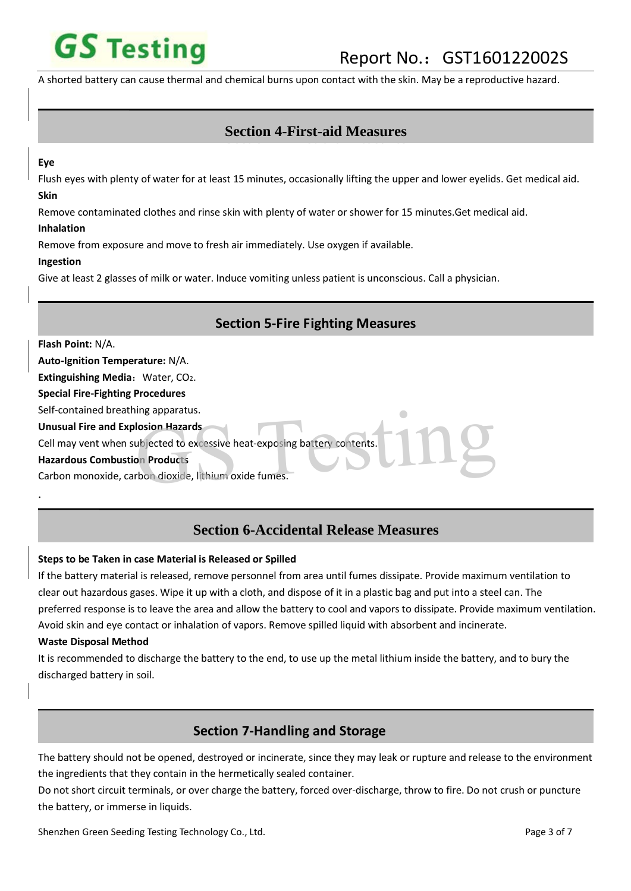A shorted battery can cause thermal and chemical burns upon contact with the skin. May be a reproductive hazard.

# **Section 4-First-aid Measures Section 4-First-aid Measures**

#### **Eye**

Flush eyes with plenty of water for at least 15 minutes, occasionally lifting the upper and lower eyelids. Get medical aid.

#### **Skin**

Remove contaminated clothes and rinse skin with plenty of water or shower for 15 minutes.Get medical aid.

#### **Inhalation**

Remove from exposure and move to fresh air immediately. Use oxygen if available.

#### **Ingestion**

.

Give at least 2 glasses of milk or water. Induce vomiting unless patient is unconscious. Call a physician.

| <b>Section 5-Fire Fighting Measures</b>                                   |
|---------------------------------------------------------------------------|
| <b>Flash Point: N/A.</b>                                                  |
| Auto-Ignition Temperature: N/A.                                           |
| Extinguishing Media: Water, CO2.                                          |
| <b>Special Fire-Fighting Procedures</b>                                   |
| Self-contained breathing apparatus.                                       |
| Unusual Fire and Explosion Hazards                                        |
| Cell may vent when subjected to excessive heat-exposing battery contents. |
| <b>Hazardous Combustion Products</b>                                      |
| Carbon monoxide, carbon dioxide, lithium oxide fumes.                     |

# **Section 6-Accidental Release Measures Section 6-Accidental Release Measures**

#### **Steps to be Taken in case Material is Released or Spilled**

If the battery material is released, remove personnel from area until fumes dissipate. Provide maximum ventilation to clear out hazardous gases. Wipe it up with a cloth, and dispose of it in a plastic bag and put into a steel can. The preferred response is to leave the area and allow the battery to cool and vapors to dissipate. Provide maximum ventilation. Avoid skin and eye contact or inhalation of vapors. Remove spilled liquid with absorbent and incinerate.

#### **Waste Disposal Method**

It is recommended to discharge the battery to the end, to use up the metal lithium inside the battery, and to bury the discharged battery in soil.

#### **Section 7-Handling and Storage**

The battery should not be opened, destroyed or incinerate, since they may leak or rupture and release to the environment the ingredients that they contain in the hermetically sealed container.

Do not short circuit terminals, or over charge the battery, forced over-discharge, throw to fire. Do not crush or puncture the battery, or immerse in liquids.

Shenzhen Green Seeding Testing Technology Co., Ltd. Page 3 of 7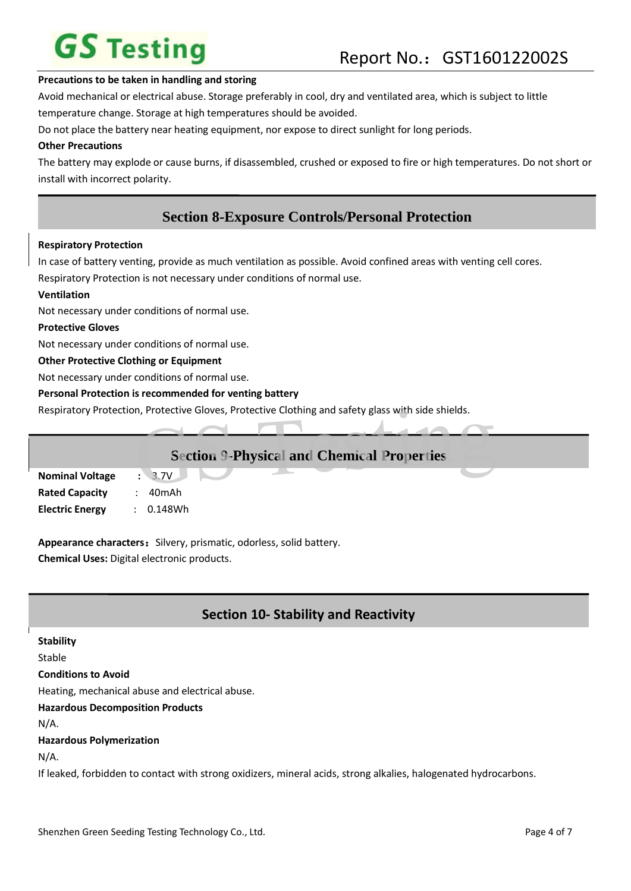#### **Precautions to be taken in handling and storing**

Avoid mechanical or electrical abuse. Storage preferably in cool, dry and ventilated area, which is subject to little

temperature change. Storage at high temperatures should be avoided.

Do not place the battery near heating equipment, nor expose to direct sunlight for long periods.

#### **Other Precautions**

The battery may explode or cause burns, if disassembled, crushed or exposed to fire or high temperatures. Do not short or install with incorrect polarity.

### **Section 8-Exposure Controls/Personal Protection Section 8-Exposure Controls/Personal Protection**

#### **Respiratory Protection**

In case of battery venting, provide as much ventilation as possible. Avoid confined areas with venting cell cores.

Respiratory Protection is not necessary under conditions of normal use.

#### **Ventilation**

Not necessary under conditions of normal use.

#### **Protective Gloves**

Not necessary under conditions of normal use.

#### **Other Protective Clothing or Equipment**

Not necessary under conditions of normal use.

#### **Personal Protection is recommended for venting battery**

Respiratory Protection, Protective Gloves, Protective Clothing and safety glass with side shields.

|                                                   | Respiratory Protection, Protective Gioves, Protective Ciothing and Salety glass with side silieros. |  |  |  |
|---------------------------------------------------|-----------------------------------------------------------------------------------------------------|--|--|--|
|                                                   |                                                                                                     |  |  |  |
| <b>Section 9-Physical and Chemical Properties</b> |                                                                                                     |  |  |  |
| <b>Nominal Voltage</b>                            | : 3.7V                                                                                              |  |  |  |
| <b>Rated Capacity</b>                             | 40mAh                                                                                               |  |  |  |
| <b>Electric Energy</b>                            | 0.148Wh                                                                                             |  |  |  |

Appearance characters: Silvery, prismatic, odorless, solid battery. **Chemical Uses:** Digital electronic products.

### **Section 10- Stability and Reactivity Section 10- Stability and Reactivity**

#### **Stability**

Stable

#### **Conditions to Avoid**

Heating, mechanical abuse and electrical abuse.

#### **Hazardous Decomposition Products**

N/A.

#### **Hazardous Polymerization**

#### N/A.

If leaked, forbidden to contact with strong oxidizers, mineral acids, strong alkalies, halogenated hydrocarbons.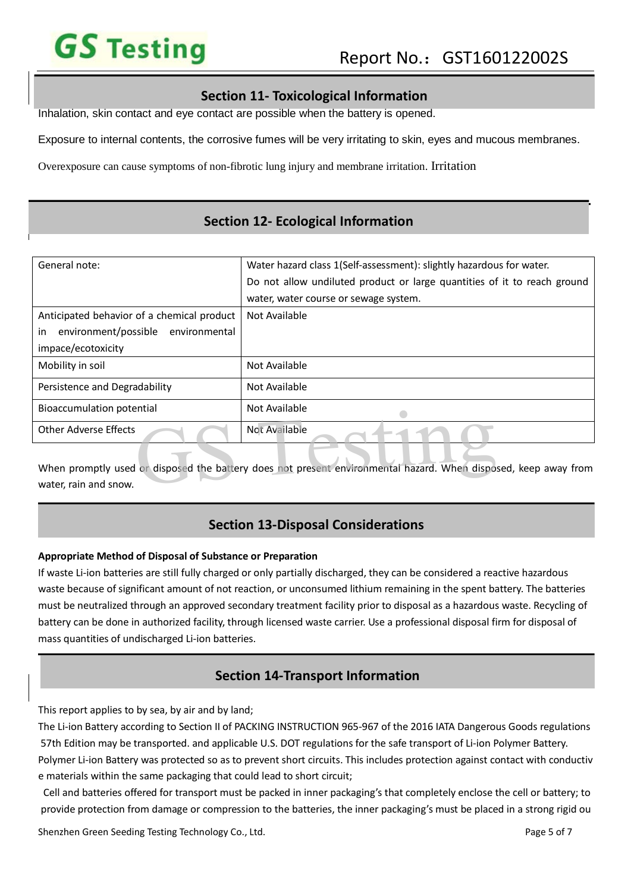# **Section 10- Stability and Reactivity Section 11- Toxicological Information**

Inhalation, skin contact and eye contact are possible when the battery is opened.

Exposure to internal contents, the corrosive fumes will be very irritating to skin, eyes and mucous membranes.

Overexposure can cause symptoms of non-fibrotic lung injury and membrane irritation. Irritation

### **Section 10- Stability and Reactivity Section 12- Ecological Information**

| General note:                                                                                                                          | Water hazard class 1(Self-assessment): slightly hazardous for water.     |  |  |
|----------------------------------------------------------------------------------------------------------------------------------------|--------------------------------------------------------------------------|--|--|
|                                                                                                                                        | Do not allow undiluted product or large quantities of it to reach ground |  |  |
|                                                                                                                                        | water, water course or sewage system.                                    |  |  |
| Anticipated behavior of a chemical product                                                                                             | Not Available                                                            |  |  |
| environment/possible<br>environmental<br>in.                                                                                           |                                                                          |  |  |
| impace/ecotoxicity                                                                                                                     |                                                                          |  |  |
| Mobility in soil                                                                                                                       | Not Available                                                            |  |  |
| Persistence and Degradability                                                                                                          | Not Available                                                            |  |  |
| <b>Bioaccumulation potential</b>                                                                                                       | Not Available                                                            |  |  |
| <b>Other Adverse Effects</b>                                                                                                           | Not Available                                                            |  |  |
| When promptly used or disposed the battery does not present environmental hazard. When disposed, keep away from<br>water rain and cnow |                                                                          |  |  |

When promptly used or disposed the battery does not present environmental hazard. When disposed, keep away from water, rain and snow.

#### **Section 13-Disposal Considerations Section 13-Disposal Considerations**

#### **Appropriate Method of Disposal of Substance or Preparation**

If waste Li-ion batteries are still fully charged or only partially discharged, they can be considered a reactive hazardous waste because of significant amount of not reaction, or unconsumed lithium remaining in the spent battery. The batteries must be neutralized through an approved secondary treatment facility prior to disposal as a hazardous waste. Recycling of battery can be done in authorized facility, through licensed waste carrier. Use a professional disposal firm for disposal of mass quantities of undischarged Li-ion batteries.

### **Section 14-Transport Information Section 14-Transport Information**

This report applies to by sea, by air and by land;

The Li-ion Battery according to Section II of PACKING INSTRUCTION 965-967 of the 2016 IATA Dangerous Goods regulations 57th Edition may be transported. and applicable U.S. DOT regulations for the safe transport of Li-ion Polymer Battery.

Polymer Li-ion Battery was protected so as to prevent short circuits. This includes protection against contact with conductiv e materials within the same packaging that could lead to short circuit;

 Cell and batteries offered for transport must be packed in inner packaging's that completely enclose the cell or battery; to provide protection from damage or compression to the batteries, the inner packaging's must be placed in a strong rigid ou

Shenzhen Green Seeding Testing Technology Co., Ltd. Page 5 of 7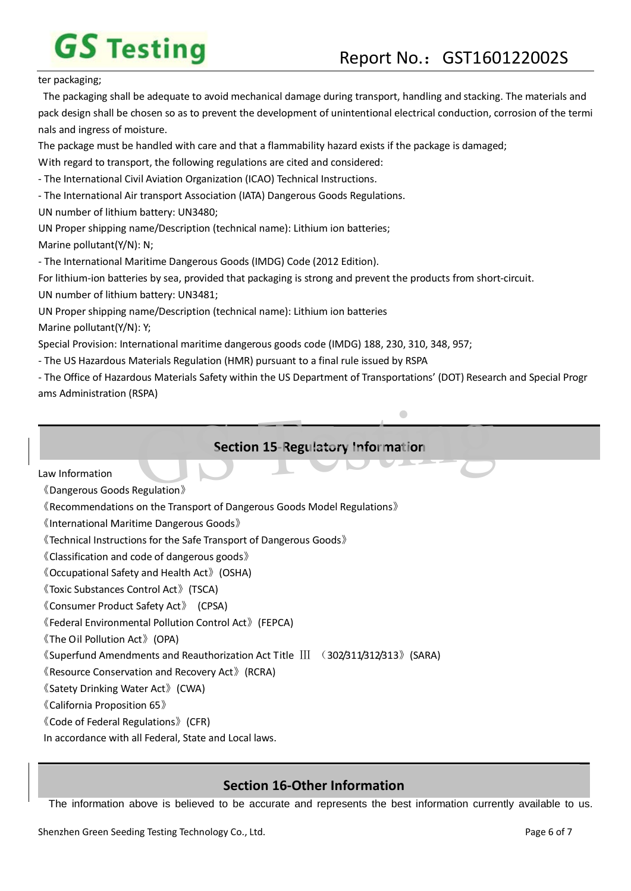ter packaging;

 The packaging shall be adequate to avoid mechanical damage during transport, handling and stacking. The materials and pack design shall be chosen so as to prevent the development of unintentional electrical conduction, corrosion of the termi nals and ingress of moisture.

The package must be handled with care and that a flammability hazard exists if the package is damaged;

With regard to transport, the following regulations are cited and considered:

- The International Civil Aviation Organization (ICAO) Technical Instructions.

- The International Air transport Association (IATA) Dangerous Goods Regulations.

UN number of lithium battery: UN3480;

UN Proper shipping name/Description (technical name): Lithium ion batteries;

Marine pollutant(Y/N): N;

- The International Maritime Dangerous Goods (IMDG) Code (2012 Edition).

For lithium-ion batteries by sea, provided that packaging is strong and prevent the products from short-circuit.

UN number of lithium battery: UN3481;

UN Proper shipping name/Description (technical name): Lithium ion batteries

Marine pollutant(Y/N): Y;

Special Provision: International maritime dangerous goods code (IMDG) 188, 230, 310, 348, 957;

- The US Hazardous Materials Regulation (HMR) pursuant to a final rule issued by RSPA

- The Office of Hazardous Materials Safety within the US Department of Transportations' (DOT) Research and Special Progr ams Administration (RSPA)

> **Section 15-Regulatory Information Section 15-Regulatory Information** Section 15-Regulatory Information

Law Information

《Dangerous Goods Regulation》 《Recommendations on the Transport of Dangerous Goods Model Regulations》 《International Maritime Dangerous Goods》 《Technical Instructions for the Safe Transport of Dangerous Goods》 《Classification and code of dangerous goods》 《Occupational Safety and Health Act》(OSHA) 《Toxic Substances Control Act》(TSCA) 《Consumer Product Safety Act》 (CPSA) 《Federal Environmental Pollution Control Act》(FEPCA) 《The Oil Pollution Act》(OPA) 《Superfund Amendments and Reauthorization Act Title Ⅲ (302/311/312/313》(SARA) 《Resource Conservation and Recovery Act》(RCRA) 《Satety Drinking Water Act》(CWA) 《California Proposition 65》 《Code of Federal Regulations》(CFR) In accordance with all Federal, State and Local laws.

## **Section 16-Other Information Section 16-Other Information**

The information above is believed to be accurate and represents the best information currently available to us.